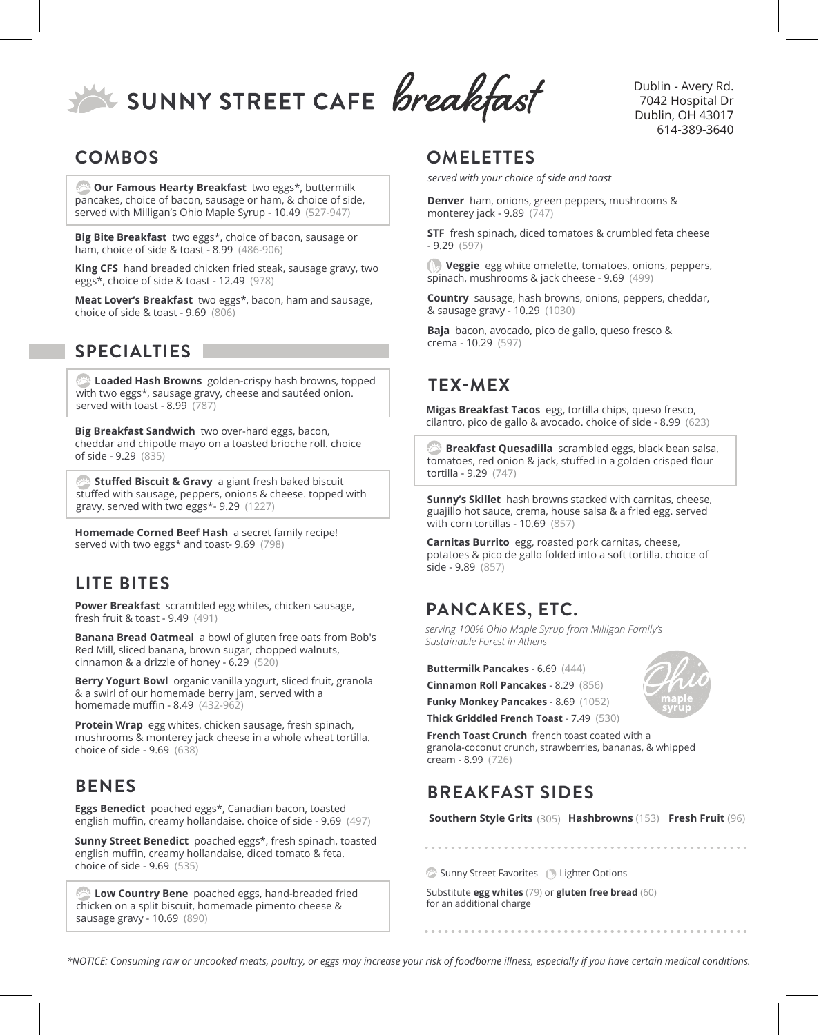SUNNY STREET CAFE Breakfast

### **COMBOS**

*C* Our Famous Hearty Breakfast two eggs\*, buttermilk pancakes, choice of bacon, sausage or ham, & choice of side, served with Milligan's Ohio Maple Syrup - 10.49 (527-947)

**Big Bite Breakfast** two eggs\*, choice of bacon, sausage or ham, choice of side & toast - 8.99 (486-906)

**King CFS** hand breaded chicken fried steak, sausage gravy, two eggs\*, choice of side & toast - 12.49 (978)

**Meat Lover's Breakfast** two eggs\*, bacon, ham and sausage, choice of side & toast - 9.69 (806)

#### **SPECIALTIES**

**Loaded Hash Browns** golden-crispy hash browns, topped with two eggs\*, sausage gravy, cheese and sautéed onion. served with toast - 8.99 (787)

**Big Breakfast Sandwich** two over-hard eggs, bacon, cheddar and chipotle mayo on a toasted brioche roll. choice of side - 9.29 (835)

 **Stuffed Biscuit & Gravy** a giant fresh baked biscuit stuffed with sausage, peppers, onions & cheese. topped with gravy. served with two eggs\*- 9.29 (1227)

**Homemade Corned Beef Hash** a secret family recipe! served with two eggs\* and toast- 9.69 (798)

## **LITE BITES**

**Power Breakfast** scrambled egg whites, chicken sausage, fresh fruit & toast - 9.49 (491)

**Banana Bread Oatmeal** a bowl of gluten free oats from Bob's Red Mill, sliced banana, brown sugar, chopped walnuts, cinnamon & a drizzle of honey - 6.29 (520)

**Berry Yogurt Bowl** organic vanilla yogurt, sliced fruit, granola & a swirl of our homemade berry jam, served with a homemade muffin - 8.49 (432-962)

**Protein Wrap** egg whites, chicken sausage, fresh spinach, mushrooms & monterey jack cheese in a whole wheat tortilla. choice of side - 9.69 (638)

#### **BENES**

**Eggs Benedict** poached eggs\*, Canadian bacon, toasted english muffin, creamy hollandaise. choice of side - 9.69 (497)

**Sunny Street Benedict** poached eggs\*, fresh spinach, toasted english muffin, creamy hollandaise, diced tomato & feta. choice of side - 9.69 (535)

**Low Country Bene** poached eggs, hand-breaded fried chicken on a split biscuit, homemade pimento cheese & sausage gravy - 10.69 (890)

### **OMELETTES**

*served with your choice of side and toast*

**Denver** ham, onions, green peppers, mushrooms & monterey jack - 9.89 (747)

**STF** fresh spinach, diced tomatoes & crumbled feta cheese - 9.29 (597)

 **Veggie** egg white omelette, tomatoes, onions, peppers, spinach, mushrooms & jack cheese - 9.69 (499)

**Country** sausage, hash browns, onions, peppers, cheddar, & sausage gravy - 10.29 (1030)

**Baja** bacon, avocado, pico de gallo, queso fresco & crema - 10.29 (597)

# **TEX-MEX**

**Migas Breakfast Tacos** egg, tortilla chips, queso fresco, cilantro, pico de gallo & avocado. choice of side - 8.99 (623)

 **Breakfast Quesadilla** scrambled eggs, black bean salsa, tomatoes, red onion & jack, stuffed in a golden crisped flour tortilla - 9.29 (747)

**Sunny's Skillet** hash browns stacked with carnitas, cheese, guajillo hot sauce, crema, house salsa & a fried egg. served with corn tortillas - 10.69 (857)

**Carnitas Burrito** egg, roasted pork carnitas, cheese, potatoes & pico de gallo folded into a soft tortilla. choice of side - 9.89 (857)

# **PANCAKES, ETC.**

*serving 100% Ohio Maple Syrup from Milligan Family's Sustainable Forest in Athens*

**Buttermilk Pancakes** - 6.69 (444)

**Cinnamon Roll Pancakes** - 8.29 (856)

**Funky Monkey Pancakes** - 8.69 (1052)

**Thick Griddled French Toast** - 7.49 (530)

**French Toast Crunch** french toast coated with a granola-coconut crunch, strawberries, bananas, & whipped cream - 8.99 (726)

# **BREAKFAST SIDES**

**Southern Style Grits** (305) **Hashbrowns** (153) **Fresh Fruit** (96)

Sunny Street Favorites (b) Lighter Options

Substitute **egg whites** (79) or **gluten free bread** (60) for an additional charge

*\*NOTICE: Consuming raw or uncooked meats, poultry, or eggs may increase your risk of foodborne illness, especially if you have certain medical conditions.*



Dublin - Avery Rd. 7042 Hospital Dr Dublin, OH 43017 614-389-3640